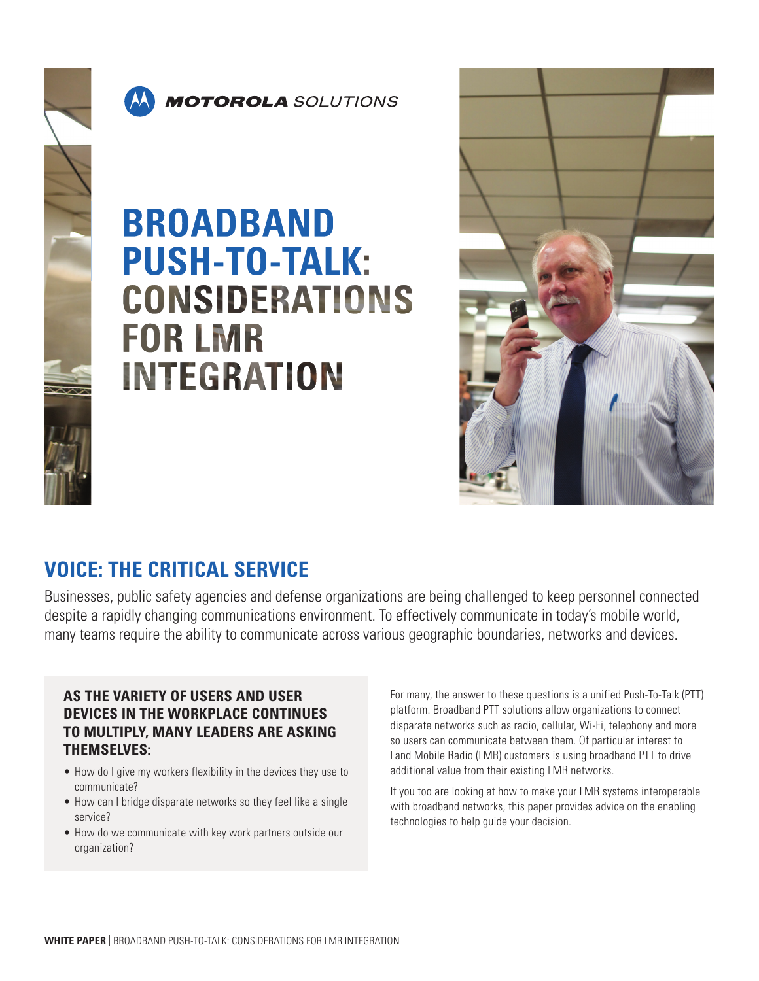



## **BROADBAND PUSH-TO-TALK: CONSIDERATIONS FOR LMR INTEGRATION**



## **VOICE: THE CRITICAL SERVICE**

Businesses, public safety agencies and defense organizations are being challenged to keep personnel connected despite a rapidly changing communications environment. To effectively communicate in today's mobile world, many teams require the ability to communicate across various geographic boundaries, networks and devices.

### **AS THE VARIETY OF USERS AND USER DEVICES IN THE WORKPLACE CONTINUES TO MULTIPLY, MANY LEADERS ARE ASKING THEMSELVES:**

- How do I give my workers flexibility in the devices they use to communicate?
- How can I bridge disparate networks so they feel like a single service?
- How do we communicate with key work partners outside our organization?

For many, the answer to these questions is a unified Push-To-Talk (PTT) platform. Broadband PTT solutions allow organizations to connect disparate networks such as radio, cellular, Wi-Fi, telephony and more so users can communicate between them. Of particular interest to Land Mobile Radio (LMR) customers is using broadband PTT to drive additional value from their existing LMR networks.

If you too are looking at how to make your LMR systems interoperable with broadband networks, this paper provides advice on the enabling technologies to help guide your decision.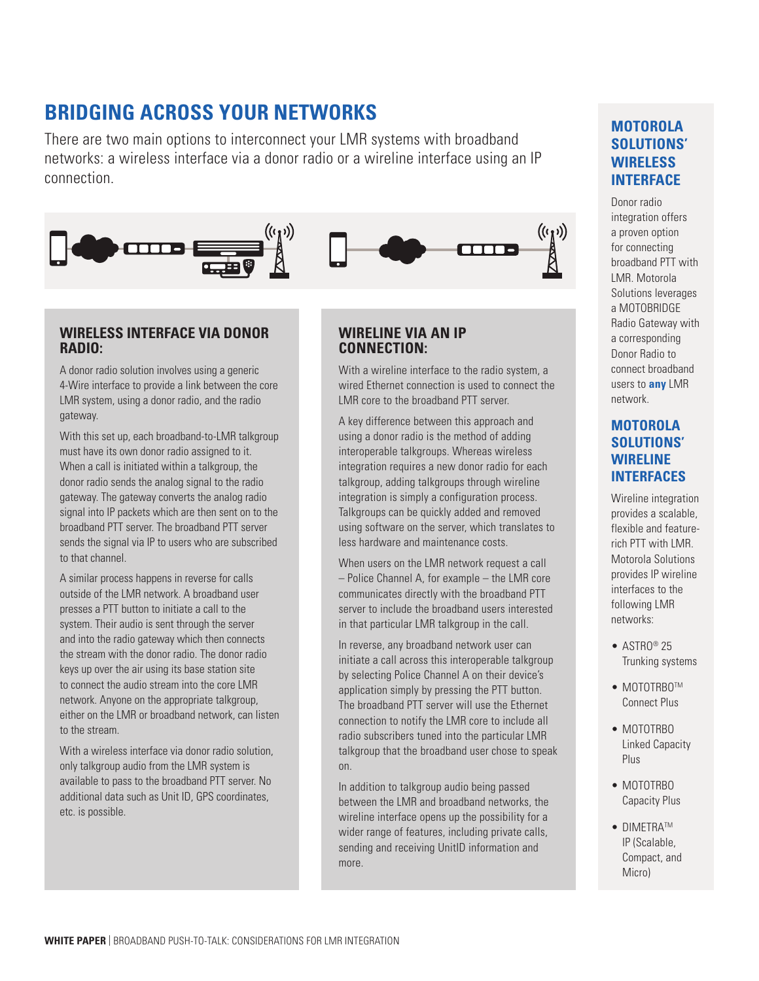## **BRIDGING ACROSS YOUR NETWORKS**

There are two main options to interconnect your LMR systems with broadband networks: a wireless interface via a donor radio or a wireline interface using an IP connection.



#### **WIRELESS INTERFACE VIA DONOR RADIO:**

A donor radio solution involves using a generic 4-Wire interface to provide a link between the core LMR system, using a donor radio, and the radio gateway.

With this set up, each broadband-to-LMR talkgroup must have its own donor radio assigned to it. When a call is initiated within a talkgroup, the donor radio sends the analog signal to the radio gateway. The gateway converts the analog radio signal into IP packets which are then sent on to the broadband PTT server. The broadband PTT server sends the signal via IP to users who are subscribed to that channel.

A similar process happens in reverse for calls outside of the LMR network. A broadband user presses a PTT button to initiate a call to the system. Their audio is sent through the server and into the radio gateway which then connects the stream with the donor radio. The donor radio keys up over the air using its base station site to connect the audio stream into the core LMR network. Anyone on the appropriate talkgroup, either on the LMR or broadband network, can listen to the stream.

With a wireless interface via donor radio solution, only talkgroup audio from the LMR system is available to pass to the broadband PTT server. No additional data such as Unit ID, GPS coordinates, etc. is possible.

#### **WIRELINE VIA AN IP CONNECTION:**

With a wireline interface to the radio system, a wired Ethernet connection is used to connect the LMR core to the broadband PTT server.

A key difference between this approach and using a donor radio is the method of adding interoperable talkgroups. Whereas wireless integration requires a new donor radio for each talkgroup, adding talkgroups through wireline integration is simply a configuration process. Talkgroups can be quickly added and removed using software on the server, which translates to less hardware and maintenance costs.

When users on the LMR network request a call – Police Channel A, for example – the LMR core communicates directly with the broadband PTT server to include the broadband users interested in that particular LMR talkgroup in the call.

In reverse, any broadband network user can initiate a call across this interoperable talkgroup by selecting Police Channel A on their device's application simply by pressing the PTT button. The broadband PTT server will use the Ethernet connection to notify the LMR core to include all radio subscribers tuned into the particular LMR talkgroup that the broadband user chose to speak on.

In addition to talkgroup audio being passed between the LMR and broadband networks, the wireline interface opens up the possibility for a wider range of features, including private calls, sending and receiving UnitID information and more.

## **MOTOROLA SOLUTIONS' WIRELESS INTERFACE**

Donor radio integration offers a proven option for connecting broadband PTT with LMR. Motorola Solutions leverages a MOTOBRIDGE Radio Gateway with a corresponding Donor Radio to connect broadband users to **any** LMR network.

#### **MOTOROLA SOLUTIONS' WIRELINE INTERFACES**

Wireline integration provides a scalable, flexible and featurerich PTT with LMR. Motorola Solutions provides IP wireline interfaces to the following LMR networks:

- $\bullet$  ASTRO® 25 Trunking systems
- MOTOTRBOTM Connect Plus
- MOTOTRBO Linked Capacity Plus
- MOTOTRBO Capacity Plus
- DIMETRATM IP (Scalable, Compact, and Micro)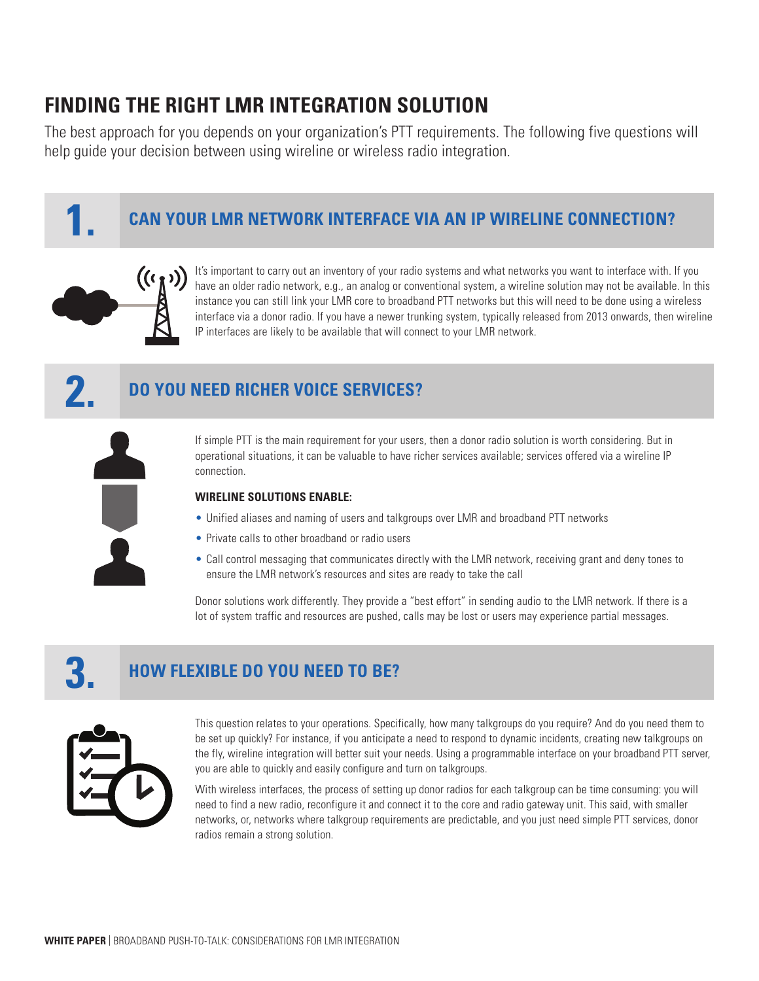## **FINDING THE RIGHT LMR INTEGRATION SOLUTION**

The best approach for you depends on your organization's PTT requirements. The following five questions will help guide your decision between using wireline or wireless radio integration.



## **CAN YOUR LMR NETWORK INTERFACE VIA AN IP WIRELINE CONNECTION? 1.**



It's important to carry out an inventory of your radio systems and what networks you want to interface with. If you have an older radio network, e.g., an analog or conventional system, a wireline solution may not be available. In this instance you can still link your LMR core to broadband PTT networks but this will need to be done using a wireless interface via a donor radio. If you have a newer trunking system, typically released from 2013 onwards, then wireline IP interfaces are likely to be available that will connect to your LMR network.

## **DO YOU NEED RICHER VOICE SERVICES? 2.**

If simple PTT is the main requirement for your users, then a donor radio solution is worth considering. But in operational situations, it can be valuable to have richer services available; services offered via a wireline IP connection.

#### **WIRELINE SOLUTIONS ENABLE:**

- Unified aliases and naming of users and talkgroups over LMR and broadband PTT networks
- Private calls to other broadband or radio users
- Call control messaging that communicates directly with the LMR network, receiving grant and deny tones to ensure the LMR network's resources and sites are ready to take the call

Donor solutions work differently. They provide a "best effort" in sending audio to the LMR network. If there is a lot of system traffic and resources are pushed, calls may be lost or users may experience partial messages.

## **HOW FLEXIBLE DO YOU NEED TO BE? 3.**



This question relates to your operations. Specifically, how many talkgroups do you require? And do you need them to be set up quickly? For instance, if you anticipate a need to respond to dynamic incidents, creating new talkgroups on the fly, wireline integration will better suit your needs. Using a programmable interface on your broadband PTT server, you are able to quickly and easily configure and turn on talkgroups.

With wireless interfaces, the process of setting up donor radios for each talkgroup can be time consuming: you will need to find a new radio, reconfigure it and connect it to the core and radio gateway unit. This said, with smaller networks, or, networks where talkgroup requirements are predictable, and you just need simple PTT services, donor radios remain a strong solution.